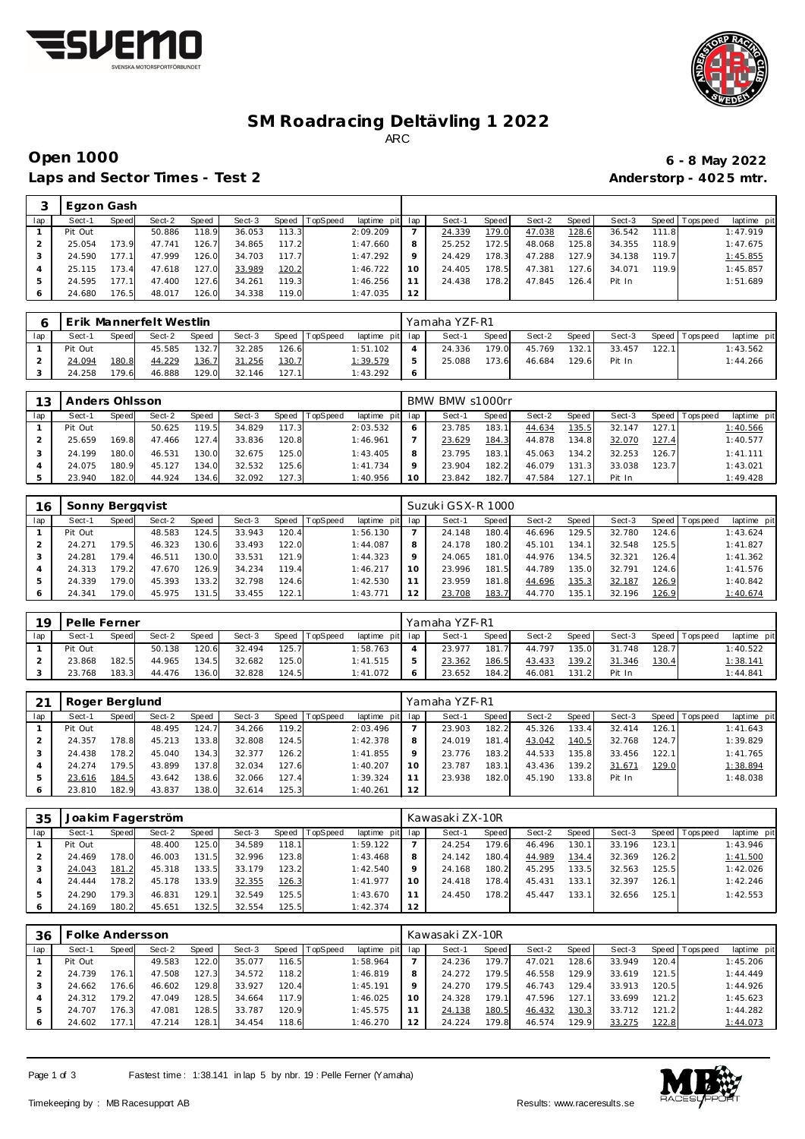



## **SM Roadracing Deltävling 1 2022** ARC

**Open 1000 6 - 8 May 2022**

Laps and Sector Times - Test 2 **Anderstorp - 4025 mtr.** 

|     | Eazon Gash |       |        |       |        |       |          |             |     |        |       |        |       |        |       |                 |             |
|-----|------------|-------|--------|-------|--------|-------|----------|-------------|-----|--------|-------|--------|-------|--------|-------|-----------------|-------------|
| lap | Sect-1     | Speed | Sect-2 | Speed | Sect-3 | Speed | TopSpeed | laptime pit | lap | Sect-1 | Speed | Sect-2 | Speed | Sect-3 |       | Speed Tops peed | laptime pit |
|     | Pit Out    |       | 50.886 | 118.9 | 36.053 | 113.3 |          | 2:09.209    |     | 24.339 | 179.0 | 47.038 | 128.6 | 36.542 | 111.8 |                 | 1:47.919    |
|     | 25.054     | 173.9 | 47.741 | 126.7 | 34.865 | 117.2 |          | 1:47.660    | 8   | 25.252 | 172.5 | 48.068 | 125.8 | 34.355 | 118.9 |                 | 1:47.675    |
|     | 24.590     | 177.1 | 47.999 | 126.0 | 34.703 | 117.7 |          | 1:47.292    | Q   | 24.429 | 178.3 | 47.288 | 127.9 | 34.138 | 119.7 |                 | 1:45.855    |
|     | 25.115     | 173.4 | 47.618 | 127.0 | 33.989 | 120.2 |          | 1:46.722    | 1 O | 24.405 | 178.5 | 47.381 | 127.6 | 34.071 | 119.9 |                 | 1:45.857    |
|     | 24.595     | 177.1 | 47.400 | 127.6 | 34.261 | 119.3 |          | 1:46.256    |     | 24.438 | 178.2 | 47.845 | 126.4 | Pit In |       |                 | 1:51.689    |
|     | 24.680     | 176.5 | 48.017 | 126.0 | 34.338 | 119.0 |          | 1:47.035    | 12  |        |       |        |       |        |       |                 |             |

|     |         |        | Erik Mannerfelt Westlin |       |        |               |                |                 |         | Yamaha YZF-R1 |       |        |       |        |       |                 |             |
|-----|---------|--------|-------------------------|-------|--------|---------------|----------------|-----------------|---------|---------------|-------|--------|-------|--------|-------|-----------------|-------------|
| lap | Sect-′  | Speed  | Sect-2                  | Speed | Sect-3 |               | Speed TopSpeed | laptime pit lap |         | Sect-1        | Speed | Sect-2 | Speed | Sect-3 |       | Speed Tops peed | laptime pit |
|     | Pit Out |        | 45.585                  | 132.7 | 32.285 | 126.6         |                | 1:51.102        |         | 24.336        | 179.0 | 45.769 | 132.1 | 33.457 | 122.1 |                 | 1:43.562    |
|     | 24.094  | 180.8  | 44.229                  | 136.7 | 31.256 | <u> 130.7</u> |                | <u>1:39.579</u> |         | 25.088        | 173.6 | 46.684 | 129.6 | Pit In |       |                 | 1:44.266    |
|     | 24.258  | 179.61 | 46.888                  | 129.0 | 32.146 | 127.1         |                | 1:43.292        | $\circ$ |               |       |        |       |        |       |                 |             |

| 13  | Anders Ohlsson |       |        |       |        |       |                |             |         | BMW BMW s1000rr |       |        |       |        |        |                 |             |
|-----|----------------|-------|--------|-------|--------|-------|----------------|-------------|---------|-----------------|-------|--------|-------|--------|--------|-----------------|-------------|
| lap | Sect-1         | Speed | Sect-2 | Speed | Sect-3 |       | Speed TopSpeed | laptime pit | lap     | Sect-1          | Speed | Sect-2 | Speed | Sect-3 |        | Speed Tops peed | laptime pit |
|     | Pit Out        |       | 50.625 | 119.5 | 34.829 | 117.3 |                | 2:03.532    | 6       | 23.785          | 183.1 | 44.634 | 135.5 | 32.147 | 127.1. |                 | 1:40.566    |
|     | 25.659         | 169.8 | 47.466 | 127.4 | 33.836 | 120.8 |                | 1:46.961    |         | 23.629          | 184.3 | 44.878 | 134.8 | 32.070 | 127.4  |                 | 1:40.577    |
|     | 24.199         | 180.0 | 46.531 | 130.0 | 32.675 | 125.0 |                | 1:43.405    | 8       | 23.795          | 183.1 | 45.063 | 134.2 | 32.253 | 126.7  |                 | 1: 41.111   |
|     | 24.075         | 180.9 | 45.127 | 134.0 | 32.532 | 125.6 |                | 1:41.734    | $\circ$ | 23.904          | 182.2 | 46.079 | 131.3 | 33.038 | 123.7  |                 | 1:43.021    |
|     | 23.940         | 182.0 | 44.924 | 134.6 | 32.092 | 127.3 |                | 1:40.956    | 10      | 23.842          | 182.7 | 47.584 | 127.1 | Pit In |        |                 | 1:49.428    |

| 16  | Sonny Berggvist |       |        |       |        |       |                |             |     | Suzuki GSX-R 1000 |              |        |        |        |        |            |             |
|-----|-----------------|-------|--------|-------|--------|-------|----------------|-------------|-----|-------------------|--------------|--------|--------|--------|--------|------------|-------------|
| lap | Sect-1          | Speed | Sect-2 | Speed | Sect-3 |       | Speed TopSpeed | laptime pit | lap | Sect-1            | Speed        | Sect-2 | Speed  | Sect-3 | Speed  | Tops pee d | laptime pit |
|     | Pit Out         |       | 48.583 | 124.5 | 33.943 | 120.4 |                | 1:56.130    |     | 24.148            | 180.4        | 46.696 | 129.51 | 32.780 | 124.6  |            | 1:43.624    |
|     | 24.271          | 179.5 | 46.323 | 130.6 | 33.493 | 122.0 |                | 1:44.087    | 8   | 24.178            | 180.2        | 45.101 | 134.   | 32.548 | 125.5  |            | 1:41.827    |
|     | 24.281          | 179.4 | 46.511 | 130.0 | 33.531 | 121.9 |                | 1:44.323    | 9   | 24.065            | 181.0        | 44.976 | 134.5  | 32.321 | 126.4  |            | 1:41.362    |
|     | 24.313          | 179.2 | 47.670 | 126.9 | 34.234 | 119.4 |                | 1:46.217    | 10  | 23.996            | 181.5        | 44.789 | 135.0  | 32.791 | 124.61 |            | 1:41.576    |
|     | 24.339          | 179.0 | 45.393 | 133.2 | 32.798 | 124.6 |                | 1:42.530    |     | 23.959            | 181.8        | 44.696 | 135.3  | 32.187 | 126.9  |            | 1:40.842    |
|     | 24.341          | 179.0 | 45.975 | 131.5 | 33.455 | 122.1 |                | 1:43.771    | 12  | 23.708            | <u>183.7</u> | 44.770 | 135.1  | 32.196 | 126.9  |            | 1:40.674    |

| 19  | Pelle Ferner |       |        |       |        |       |                |                 |   | Yamaha YZF-R1 |              |        |       |        |       |                 |             |
|-----|--------------|-------|--------|-------|--------|-------|----------------|-----------------|---|---------------|--------------|--------|-------|--------|-------|-----------------|-------------|
| lap | Sect-′       | Speed | Sect-2 | Speed | Sect-3 |       | Speed TopSpeed | laptime pit lap |   | Sect-1        | Speed        | Sect-2 | Speed | Sect-3 |       | Speed Tops peed | laptime pit |
|     | Pit Out      |       | 50.138 | 120.6 | 32.494 | 125.7 |                | 1:58.763        |   | 23.977        | 181          | 44.797 | 135.0 | 31.748 | 128.7 |                 | 1:40.522    |
|     | 23.868       | 182.5 | 44.965 | 134.5 | 32.682 | 125.0 |                | 1:41.515        | э | 23.362        | <u>186.5</u> | 43.433 | 139.2 | 31.346 | 130.4 |                 | 1:38.141    |
|     | 23.768       | 183.3 | 44.476 | 136.0 | 32.828 | 124.5 |                | 1:41.072        |   | 23.652        | 184.2        | 46.081 | 131.  | Pit In |       |                 | 1:44.841    |

| 21  | Roger Berglund |       |        |       |        |       |          |             |     | Yamaha YZF-R1 |              |        |       |        |        |                 |             |
|-----|----------------|-------|--------|-------|--------|-------|----------|-------------|-----|---------------|--------------|--------|-------|--------|--------|-----------------|-------------|
| lap | Sect-1         | Speed | Sect-2 | Speed | Sect-3 | Speed | TopSpeed | laptime pit | lap | Sect-1        | <b>Speed</b> | Sect-2 | Speed | Sect-3 |        | Speed Tops peed | laptime pit |
|     | Pit Out        |       | 48.495 | 124.7 | 34.266 | 119.2 |          | 2:03.496    |     | 23.903        | 182.2        | 45.326 | 133.4 | 32.414 | 126.11 |                 | 1:41.643    |
|     | 24.357         | 178.8 | 45.213 | 133.8 | 32.808 | 124.5 |          | 1:42.378    | 8   | 24.019        | 181.4        | 43.042 | 140.5 | 32.768 | 124.7  |                 | 1:39.829    |
|     | 24.438         | 178.2 | 45.040 | 134.3 | 32.377 | 126.2 |          | 1:41.855    | Q   | 23.776        | 183.2        | 44.533 | 135.8 | 33.456 | 122.1  |                 | 1:41.765    |
|     | 24.274         | 179.5 | 43.899 | 137.8 | 32.034 | 127.6 |          | 1:40.207    | 10  | 23.787        | 183.1        | 43.436 | 139.2 | 31.671 | 129.0  |                 | 1:38.894    |
|     | 23.616         | 184.5 | 43.642 | 138.6 | 32.066 | 127.4 |          | 1:39.324    |     | 23.938        | 182.0        | 45.190 | 133.8 | Pit In |        |                 | 1:48.038    |
|     | 23.810         | 182.9 | 43.837 | 138.0 | 32.614 | 125.3 |          | 1:40.261    | 12  |               |              |        |       |        |        |                 |             |

| 35  |         |       | Joakim Fagerström |       |        |       |                |                 |         | Kawasaki ZX-10R |       |        |       |        |        |                |             |
|-----|---------|-------|-------------------|-------|--------|-------|----------------|-----------------|---------|-----------------|-------|--------|-------|--------|--------|----------------|-------------|
| lap | Sect-1  | Speed | Sect-2            | Speed | Sect-3 |       | Speed TopSpeed | laptime pit lap |         | Sect-1          | Speed | Sect-2 | Speed | Sect-3 |        | Speed Topspeed | laptime pit |
|     | Pit Out |       | 48.400            | 125.0 | 34.589 | 118.1 |                | 1:59.122        |         | 24.254          | 179.6 | 46.496 | 130.1 | 33.196 | 123.1  |                | 1:43.946    |
|     | 24.469  | 178.0 | 46.003            | 131.5 | 32.996 | 123.8 |                | 1:43.468        | 8       | 24.142          | 180.4 | 44.989 | 134.4 | 32.369 | 126.2  |                | 1:41.500    |
|     | 24.043  | 181.2 | 45.318            | 133.5 | 33.179 | 123.2 |                | 1:42.540        | $\circ$ | 24.168          | 180.2 | 45.295 | 133.5 | 32.563 | 125.5  |                | 1:42.026    |
|     | 24.444  | 178.2 | 45.178            | 133.9 | 32.355 | 126.3 |                | 1:41.977        | 10      | 24.418          | 178.4 | 45.431 | 133.1 | 32.397 | 126.1  |                | 1:42.246    |
| 5   | 24.290  | 179.3 | 46.831            | 129.1 | 32.549 | 125.5 |                | 1:43.670        |         | 24.450          | 178.2 | 45.447 | 133.1 | 32.656 | 125.11 |                | 1:42.553    |
|     | 24.169  | 180.2 | 45.651            | 132.5 | 32.554 | 125.5 |                | 1:42.374        | 12      |                 |       |        |       |        |        |                |             |

| 36  | Folke Andersson |        |        |              |        |       |                |             |     | Kawasaki ZX-10R |              |        |       |        |       |                   |             |
|-----|-----------------|--------|--------|--------------|--------|-------|----------------|-------------|-----|-----------------|--------------|--------|-------|--------|-------|-------------------|-------------|
| lap | Sect-1          | Speed  | Sect-2 | <b>Speed</b> | Sect-3 |       | Speed TopSpeed | laptime pit | lap | Sect-1          | <b>Speed</b> | Sect-2 | Speed | Sect-3 |       | Speed   Tops peed | laptime pit |
|     | Pit Out         |        | 49.583 | 122.0        | 35.077 | 116.5 |                | 1:58.964    |     | 24.236          | 179.7        | 47.021 | 128.6 | 33.949 | 120.4 |                   | 1:45.206    |
|     | 24.739          | 176.1  | 47.508 | 127.3        | 34.572 | 118.2 |                | 1:46.819    | 8   | 24.272          | 179.5        | 46.558 | 129.9 | 33.619 | 121.5 |                   | 1:44.449    |
| 3   | 24.662          | '76.6' | 46.602 | 129.8        | 33.927 | 120.4 |                | 1:45.191    | Q   | 24.270          | 179.5        | 46.743 | 129.4 | 33.913 | 120.5 |                   | 1:44.926    |
|     | 24.312          | 179.2  | 47.049 | 128.5        | 34.664 | 117.9 |                | 1:46.025    | 10  | 24.328          | 179.1        | 47.596 | 127.1 | 33.699 | 121.2 |                   | 1:45.623    |
| ь   | 24.707          | 176.3  | 47.081 | 128.5        | 33.787 | 120.9 |                | 1:45.575    |     | 24.138          | 180.5        | 46.432 | 130.3 | 33.712 | 121.2 |                   | 1:44.282    |
| 6   | 24.602          | 177.1  | 47.214 | 128.1        | 34.454 | 118.6 |                | 1:46.270    | 12  | 24.224          | 179.8        | 46.574 | 129.9 | 33.275 | 122.8 |                   | 1:44.073    |

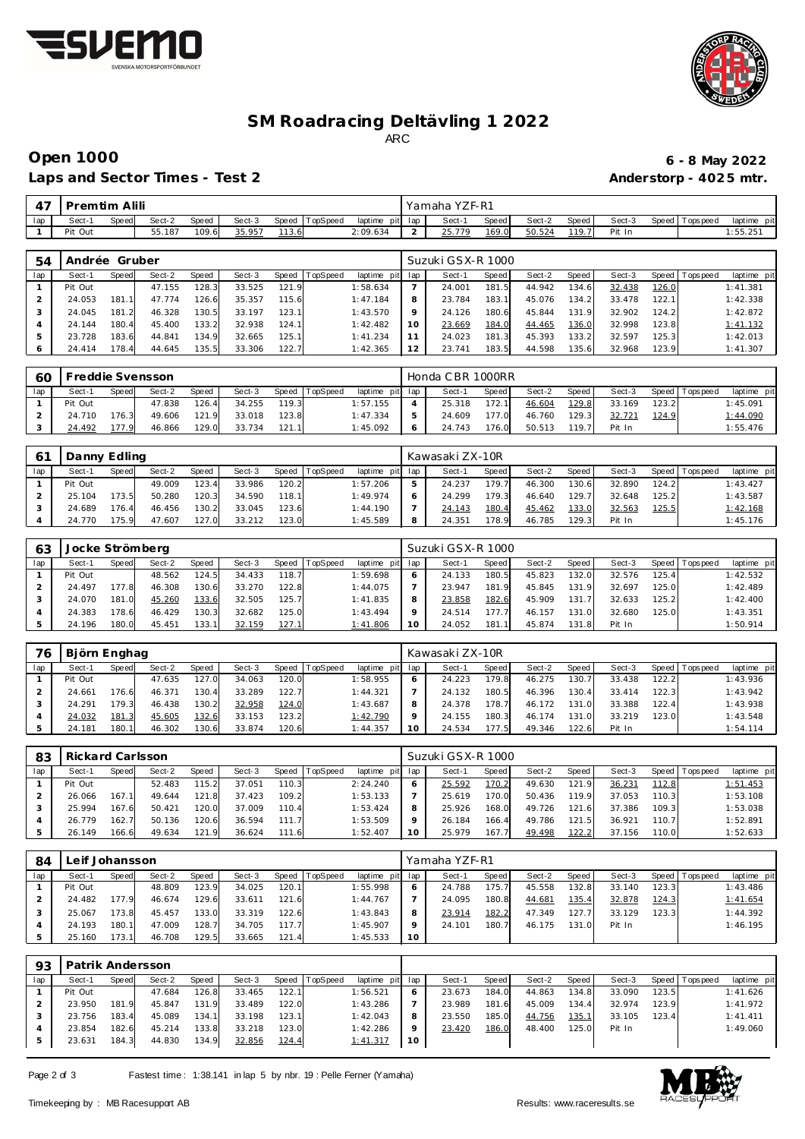



## **SM Roadracing Deltävling 1 2022** ARC

| Open 1000                      | 6 - 8 May 2022         |
|--------------------------------|------------------------|
| Laps and Sector Times - Test 2 | Anderstorp - 4025 mtr. |

| 47  | Premtim Alili |       |        |       |        |       |                |                 | Yamaha YZF-R1     |       |        |       |        |                |             |
|-----|---------------|-------|--------|-------|--------|-------|----------------|-----------------|-------------------|-------|--------|-------|--------|----------------|-------------|
| lap | Sect-′        | Speed | Sect-2 | Speed | Sect-3 |       | Speed TopSpeed | laptime pit lap | Sect-1            | Speed | Sect-2 | Speed | Sect-3 | Speed Topspeed | laptime pit |
|     | Pit Out       |       | 55.187 | 109.6 | 35.957 | 113.6 |                | 2:09.634        | 25.779            | 169.0 | 50.524 | 11971 | Pit In |                | 1:55.251    |
|     |               |       |        |       |        |       |                |                 |                   |       |        |       |        |                |             |
| 54  | Andrée Gruber |       |        |       |        |       |                |                 | Suzuki GSX-R 1000 |       |        |       |        |                |             |

| 54  | Andrée Gruber |       |        |       |        |        |          |             |         | Suzuki GSX-R 1000 |       |        |        |        |       |            |             |
|-----|---------------|-------|--------|-------|--------|--------|----------|-------------|---------|-------------------|-------|--------|--------|--------|-------|------------|-------------|
| lap | Sect-1        | Speed | Sect-2 | Speed | Sect-3 | Speed  | TopSpeed | laptime pit | lap     | Sect-1            | Speed | Sect-2 | Speed  | Sect-3 | Speed | Tops pee d | laptime pit |
|     | Pit Out       |       | 47.155 | 128.3 | 33.525 | 121.9  |          | 1:58.634    |         | 24.001            | 181.5 | 44.942 | 134.61 | 32.438 | 126.0 |            | 1:41.381    |
|     | 24.053        | 181.1 | 47.774 | 126.6 | 35.357 | 115.6  |          | 1:47.184    |         | 23.784            | 183.1 | 45.076 | 134.2  | 33.478 | 122.1 |            | 1:42.338    |
|     | 24.045        | 181.2 | 46.328 | 130.5 | 33.197 | 123.1  |          | 1:43.570    | $\circ$ | 24.126            | 180.6 | 45.844 | 131.9  | 32.902 | 124.2 |            | 1:42.872    |
|     | 24.144        | 180.4 | 45.400 | 133.2 | 32.938 | 124.1  |          | 1:42.482    | 10      | 23.669            | 184.0 | 44.465 | 136.0  | 32.998 | 123.8 |            | 1:41.132    |
|     | 23.728        | 183.6 | 44.841 | 134.9 | 32.665 | 125.11 |          | 1:41.234    |         | 24.023            | 181.3 | 45.393 | 133.2  | 32.597 | 125.3 |            | 1:42.013    |
|     | 24.414        | 178.4 | 44.645 | 135.5 | 33.306 | 122.7  |          | 1:42.365    |         | 23.741            | 183.5 | 44.598 | 135.6  | 32.968 | 123.9 |            | 1:41.307    |

| 60  | Freddie Svensson |       |        |       |        |       |                  |          |         | Honda CBR 1000RR |                    |        |                    |        |       |                   |             |
|-----|------------------|-------|--------|-------|--------|-------|------------------|----------|---------|------------------|--------------------|--------|--------------------|--------|-------|-------------------|-------------|
| lap | Sect-1           | Speed | Sect-2 | Speed | Sect-3 |       | Speed   TopSpeed | laptime  | pit lap | Sect-1           | Speed              | Sect-2 | Speed              | Sect-3 |       | Speed   Tops peed | laptime pit |
|     | Pit Out          |       | 47.838 | 126.4 | 34.255 | 119.3 |                  | 1:57.155 |         | 25.318           | 172.1 <sub>1</sub> | 46.604 | 129.8              | 33.169 | 123.2 |                   | 1:45.091    |
|     | .710<br>24.      | 176.3 | 49.606 | 121.9 | 33.018 | 123.8 |                  | 1:47.334 |         | 24.609           | 177.0              | 46.760 | 129.3              | 32.721 | 124.9 |                   | 1:44.090    |
|     | 24.492           | 77 Q  | 46.866 | 129.0 | 33.734 | 121.1 |                  | 1:45.092 |         | 24.743           | 176.0              | 50.513 | 119.7 <sub>1</sub> | Pit In |       |                   | 1:55.476    |

|     | Danny Edling |       |        |       |        |       |          |             |     | Kawasaki ZX-10R |       |        |        |        |       |                 |             |
|-----|--------------|-------|--------|-------|--------|-------|----------|-------------|-----|-----------------|-------|--------|--------|--------|-------|-----------------|-------------|
| lap | Sect-1       | Speed | Sect-2 | Speed | Sect-3 | Speed | TopSpeed | laptime pit | lap | Sect-1          | Speed | Sect-2 | Speed  | Sect-3 |       | Speed Tops peed | laptime pit |
|     | Pit Out      |       | 49.009 | 123.4 | 33.986 | 120.2 |          | 1:57.206    |     | 24.237          | 179.7 | 46.300 | 130.61 | 32.890 | 124.2 |                 | 1:43.427    |
|     | 25.104       | 173.5 | 50.280 | 120.3 | 34.590 | 118.1 |          | 1:49.974    |     | 24.299          | 179.3 | 46.640 | 129.7  | 32.648 | 125.2 |                 | 1:43.587    |
|     | 24.689       | 176.4 | 46.456 | 130.2 | 33.045 | 123.6 |          | 1:44.190    |     | 24.143          | 180.4 | 45.462 | 133.0  | 32.563 | 125.5 |                 | 1:42.168    |
|     | 24.770       | 175.9 | 47.607 | 127.0 | 33.212 | 123.0 |          | 1:45.589    |     | 24.35'          | 178.9 | 46.785 | 129.31 | Pit In |       |                 | 1:45.176    |

| 63  | Jocke Strömberg |       |        |       |        |         |                 |                 |    | Suzuki GSX-R 1000 |       |        |       |        |       |                 |             |
|-----|-----------------|-------|--------|-------|--------|---------|-----------------|-----------------|----|-------------------|-------|--------|-------|--------|-------|-----------------|-------------|
| lap | Sect-1          | Speed | Sect-2 | Speed | Sect-3 | Speed 1 | <b>TopSpeed</b> | laptime pit lap |    | Sect-1            | Speed | Sect-2 | Speed | Sect-3 |       | Speed Tops peed | laptime pit |
|     | Pit Out         |       | 48.562 | 124.5 | 34.433 | 118.7   |                 | 1:59.698        |    | 24.133            | 180.5 | 45.823 | 132.0 | 32.576 | 125.4 |                 | 1:42.532    |
|     | 24.497          | 177.8 | 46.308 | 130.6 | 33.270 | 122.8   |                 | 1:44.075        |    | 23.947            | 181.9 | 45.845 | 131.9 | 32.697 | 125.0 |                 | 1:42.489    |
|     | 24.070          | 181.0 | 45.260 | 133.6 | 32.505 | 125.7   |                 | 1:41.835        |    | 23.858            | 182.6 | 45.909 | 131.7 | 32.633 | 125.2 |                 | 1:42.400    |
|     | 24.383          | 178.6 | 46.429 | 130.3 | 32.682 | 125.0   |                 | 1:43.494        |    | 24.514            | 177.7 | 46.157 | 131.0 | 32.680 | 125.0 |                 | 1:43.351    |
|     | 24.196          | 180.0 | 45.451 | 133.1 | 32.159 | 127.1   |                 | 1:41.806        | 10 | 24.052            | 181.1 | 45.874 | 131.8 | Pit In |       |                 | 1:50.914    |

| 76  | Björn Enghag |       |        |        |        |       |          |                 | Kawasaki ZX-10R |       |        |       |        |         |            |             |
|-----|--------------|-------|--------|--------|--------|-------|----------|-----------------|-----------------|-------|--------|-------|--------|---------|------------|-------------|
| lap | Sect-1       | Speed | Sect-2 | Speed  | Sect-3 | Speed | TopSpeed | laptime pit lap | Sect-1          | Speed | Sect-2 | Speed | Sect-3 | Speed I | Tops pee d | laptime pit |
|     | Pit Out      |       | 47.635 | 127.0  | 34.063 | 120.0 |          | 1:58.955        | 24.223          | 179.8 | 46.275 | 130.7 | 33.438 | 122.2   |            | 1:43.936    |
|     | 24.661       | 176.6 | 46.371 | 130.4  | 33.289 | 122.7 |          | 1:44.321        | 24.132          | 180.5 | 46.396 | 130.4 | 33.414 | 122.3   |            | 1:43.942    |
|     | 24.291       | 179.3 | 46.438 | 130.2. | 32.958 | 124.0 |          | 1:43.687        | 24.378          | 178.7 | 46.172 | 131.0 | 33.388 | 122.4   |            | 1:43.938    |
|     | 24.032       | 181.3 | 45.605 | 132.6  | 33.153 | 123.2 |          | 1:42.790        | 24.155          | 180.3 | 46.174 | 131.0 | 33.219 | 123.0   |            | 1:43.548    |
|     | 24.181       | 180.1 | 46.302 | 130.6  | 33.874 | 120.6 |          | 1:44.357        | 24.534          | 177.5 | 49.346 | 122.6 | Pit In |         |            | 1:54.114    |

| 83  | Rickard Carlsson |       |        |       |        |       |          |                 |    | Suzuki GSX-R 1000 |         |        |         |        |       |                   |             |
|-----|------------------|-------|--------|-------|--------|-------|----------|-----------------|----|-------------------|---------|--------|---------|--------|-------|-------------------|-------------|
| lap | Sect-1           | Speed | Sect-2 | Speed | Sect-3 | Speed | TopSpeed | laptime pit lap |    | Sect-1            | Speed I | Sect-2 | Speed I | Sect-3 |       | Speed   Tops peed | laptime pit |
|     | Pit Out          |       | 52.483 | 115.2 | 37.051 | 110.3 |          | 2:24.240        |    | 25.592            | 170.2   | 49.630 | 121.9   | 36.231 | 112.8 |                   | 1:51.453    |
|     | 26.066           | 167.1 | 49.644 | 121.8 | 37.423 | 109.2 |          | 1:53.133        |    | 25.619            | 170.0   | 50.436 | 119.9   | 37.053 | 110.3 |                   | 1:53.108    |
|     | 25.994           | 167.6 | 50.421 | 120.0 | 37.009 | 110.4 |          | 1:53.424        |    | 25.926            | 168.0   | 49.726 | 121.6   | 37.386 | 109.3 |                   | 1:53.038    |
|     | 26.779           | 162.7 | 50.136 | 120.6 | 36.594 | 111.7 |          | 1:53.509        |    | 26.184            | 166.4   | 49.786 | 121.5   | 36.921 | 110.7 |                   | 1:52.891    |
|     | 26.149           | 166.6 | 49.634 | 121.9 | 36.624 | 111.6 |          | 1:52.407        | 10 | 25.979            | 167.7   | 49.498 | 122.2   | 37.156 | 110.0 |                   | 1:52.633    |

| 84  |         | eif Johansson. |        |       |        |       |                |                 |                 | Yamaha YZF-R1 |       |        |               |        |       |                 |             |
|-----|---------|----------------|--------|-------|--------|-------|----------------|-----------------|-----------------|---------------|-------|--------|---------------|--------|-------|-----------------|-------------|
| lap | Sect-1  | Speed          | Sect-2 | Speed | Sect-3 |       | Speed TopSpeed | laptime pit lap |                 | Sect-1        | Speed | Sect-2 | Speed         | Sect-3 |       | Speed Tops peed | laptime pit |
|     | Pit Out |                | 48.809 | 123.9 | 34.025 | 120.1 |                | 1:55.998        | 6               | 24.788        | 175.7 | 45.558 | 132.8         | 33.140 | 123.3 |                 | 1:43.486    |
|     | 24.482  | 177.9          | 46.674 | 129.6 | 33.611 | 121.6 |                | 1:44.767        |                 | 24.095        | 180.8 | 44.681 | 135.4         | 32.878 | 124.3 |                 | 1:41.654    |
|     | 25.067  | 173.8          | 45.457 | 133.0 | 33.319 | 122.6 |                | 1:43.843        | 8               | 23.914        | 182.2 | 47.349 | 127.          | 33.129 | 123.3 |                 | 1:44.392    |
|     | 24.193  | 180.11         | 47.009 | 128.7 | 34.705 | 117.7 |                | 1:45.907        | Q               | 24.101        | 180.7 | 46.175 | 131<br>$\cap$ | Pit In |       |                 | 1:46.195    |
|     | 25.160  | 173.1          | 46.708 | 129.5 | 33.665 | 121.4 |                | 1:45.533        | 10 <sup>°</sup> |               |       |        |               |        |       |                 |             |

| 93  | Patrik Andersson |       |        |       |        |       |                |                 |    |        |              |        |       |        |       |                   |             |
|-----|------------------|-------|--------|-------|--------|-------|----------------|-----------------|----|--------|--------------|--------|-------|--------|-------|-------------------|-------------|
| lap | Sect-1           | Speed | Sect-2 | Speed | Sect-3 |       | Speed TopSpeed | laptime pit lap |    | Sect-1 | Speed I      | Sect-2 | Speed | Sect-3 |       | Speed   Tops peed | laptime pit |
|     | Pit Out          |       | 47.684 | 126.8 | 33.465 | 122.1 |                | 1:56.521        |    | 23.673 | 184.0        | 44.863 | 134.8 | 33.090 | 123.5 |                   | 1:41.626    |
|     | 23.950           | 181.9 | 45.847 | 131.9 | 33.489 | 122.0 |                | 1:43.286        |    | 23.989 | 181.6        | 45.009 | 134.4 | 32.974 | 123.9 |                   | 1:41.972    |
|     | 23.756           | 183.4 | 45.089 | 134.1 | 33.198 | 123.1 |                | 1:42.043        |    | 23.550 | 185.0        | 44.756 | 135.1 | 33.105 | 123.4 |                   | 1: 41.411   |
|     | 23.854           | 182.6 | 45.214 | 133.8 | 33.218 | 123.0 |                | 1:42.286        |    | 23.420 | <u>186.0</u> | 48.400 | 125.0 | Pit In |       |                   | 1:49.060    |
|     | 23.631           | 184.3 | 44.830 | 134.9 | 32.856 | 124.4 |                | 1:41.317        | 10 |        |              |        |       |        |       |                   |             |

Page 2 of 3 Fastest time: 1:38.141 in lap 5 by nbr. 19 : Pelle Ferner (Yamaha)